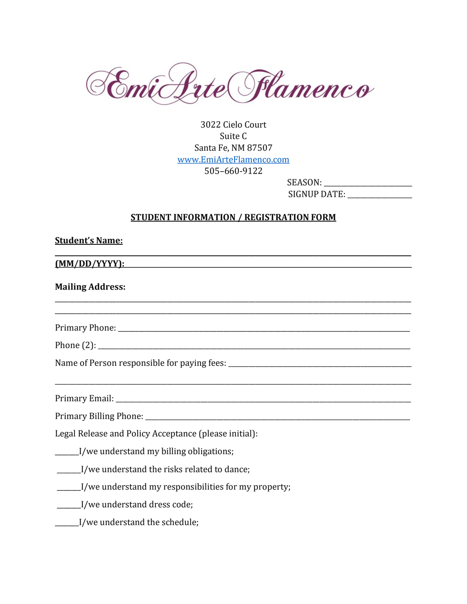

3022 Cielo Court Suite C Santa Fe, NM 87507 [www.EmiArteFlamenco.com](http://www.emiarteflamenco.com/) 505–660-9122

SEASON: \_\_\_\_\_\_\_\_\_\_\_\_\_\_\_\_\_\_\_\_\_\_\_\_\_\_ SIGNUP DATE: \_\_\_\_\_\_\_\_\_\_\_\_\_\_\_\_\_\_\_

## **STUDENT INFORMATION / REGISTRATION FORM**

| <b>Student's Name:</b>                                                                                        |  |  |
|---------------------------------------------------------------------------------------------------------------|--|--|
| <u>(MM/DD/YYYY):</u>                                                                                          |  |  |
| <b>Mailing Address:</b>                                                                                       |  |  |
| Primary Phone: 2008. 2009. 2010. 2010. 2010. 2010. 2010. 2010. 2010. 2010. 2010. 2010. 2010. 2010. 2010. 2010 |  |  |
|                                                                                                               |  |  |
|                                                                                                               |  |  |
|                                                                                                               |  |  |
|                                                                                                               |  |  |
|                                                                                                               |  |  |
| Legal Release and Policy Acceptance (please initial):                                                         |  |  |
| ______I/we understand my billing obligations;                                                                 |  |  |
| ______I/we understand the risks related to dance;                                                             |  |  |
| ______I/we understand my responsibilities for my property;                                                    |  |  |
| ______I/we understand dress code;                                                                             |  |  |
| I/we understand the schedule;                                                                                 |  |  |